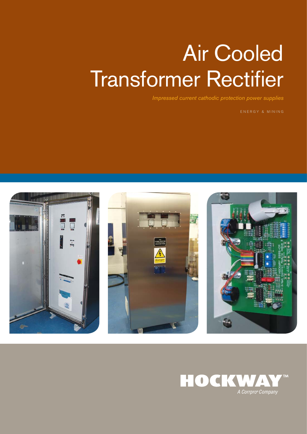# Air Cooled **Transformer Rectifier**

*Impressed current cathodic protection power supplies*

ENERGY & MINING



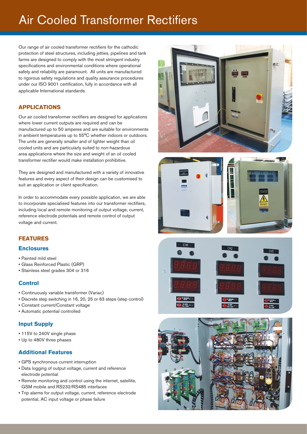## **Air Cooled Transformer Rectifiers**

Our range of air cooled transformer rectifiers for the cathodic protection of steel structures, including jetties, pipelines and tank farms are designed to comply with the most stringent industry specifications and environmental conditions where operational safety and reliability are paramount. All units are manufactured to rigorous safety regulations and quality assurance procedures under our ISO 9001 certification, fully in accordance with all applicable International standards.

### **APPLICATIONS**

Our air cooled transformer rectifiers are designed for applications where lower current outputs are required and can be manufactured up to 50 amperes and are suitable for environments in ambient temperatures up to 55°C whether indoors or outdoors. The units are generally smaller and of lighter weight than oil cooled units and are particularly suited to non-hazardous area applications where the size and weight of an oil cooled transformer rectifier would make installation prohibitive.

They are designed and manufactured with a variety of innovative features and every aspect of their design can be customised to suit an application or client specification.

In order to accommodate every possible application, we are able to incorporate specialised features into our transformer rectifiers, including local and remote monitoring of output voltage, current, reference electrode potentials and remote control of output voltage and current.

### **FEATURES**

### **Enclosures**

- Painted mild steel
- Glass Reinforced Plastic (GRP)
- Stainless steel grades 304 or 316

### **Control**

- Continuously variable transformer (Variac)
- Discrete step switching in 16, 20, 25 or 63 steps (step control)
- Constant current/Constant voltage
- Automatic potential controlled

### **Input Supply**

- 115V to 240V single phase
- Up to 480V three phases

### **Additional Features**

- GPS synchronous current interruption
- Data logging of output voltage, current and reference electrode potential
- Remote monitoring and control using the internet, satellite, GSM mobile and RS232/RS485 interfaces
- Trip alarms for output voltage, current, reference electrode potential, AC input voltage or phase failure







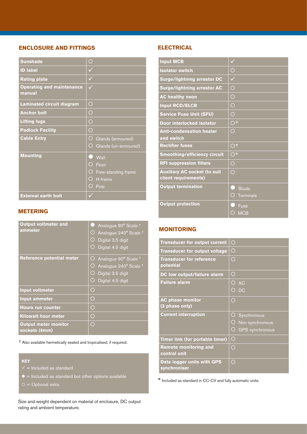### **ENCLOSURE AND FITTINGS**

| <b>Sunshade</b>                            | О                         |
|--------------------------------------------|---------------------------|
| <b>ID label</b>                            | ✓                         |
| <b>Rating plate</b>                        |                           |
| <b>Operating and maintenance</b><br>manual |                           |
| Laminated circuit diagram                  | O                         |
| <b>Anchor bolt</b>                         | ◯                         |
| <b>Lifting lugs</b>                        | O                         |
| <b>Padlock Facility</b>                    | $\bigcirc$                |
| <b>Cable Entry</b>                         | O<br>Glands (armoured)    |
|                                            | Ο<br>Glands (un-armoured) |
| <b>Mounting</b>                            | C 1<br>Wall               |
|                                            | Ο<br>Floor                |
|                                            | O Free-standing frame     |
|                                            | $O$ H-frame               |
|                                            | ◯<br>Pole                 |
| <b>External earth bolt</b>                 |                           |

### **ELECTRICAL**

| <b>Input MCB</b>                                            |                                       |
|-------------------------------------------------------------|---------------------------------------|
| <b>Isolator switch</b>                                      | O                                     |
| <b>Surge/lightning arrestor DC</b>                          | ✓                                     |
| <b>Surge/lightning arrestor AC</b>                          | $\bigcirc$                            |
| <b>AC healthy neon</b>                                      | O                                     |
| <b>Input RCD/ELCB</b>                                       | $\bigcirc$                            |
| <b>Service Fuse Unit (SFU)</b>                              | $\bigcirc$                            |
| Door interlocked isolator                                   | $\overline{O}$ *                      |
| <b>Anti-condensation heater</b>                             | $\bigcirc$                            |
| and switch                                                  |                                       |
| <b>Rectifier fuses</b>                                      | $\overline{O^*}$                      |
| <b>Smoothing/efficiency circuit</b>                         | $\overline{\bigcirc}$ *               |
| <b>RFI suppression filters</b>                              | ◯                                     |
| <b>Auxiliary AC socket (to suit</b><br>client requirements) | $\bigcap$                             |
| <b>Output termination</b>                                   | <b>Studs</b><br>◯<br><b>Terminals</b> |
| <b>Output protection</b>                                    | Fuse<br><b>MCB</b>                    |

### **METERING**

| <b>Output voltmeter and</b><br>ammeter       | Analogue 90° Scale <sup>+</sup><br>O<br>Analogue 240° Scale <sup>+</sup><br>Digital 3.5 digit<br>Ο<br>Digital 4.5 digit      |
|----------------------------------------------|------------------------------------------------------------------------------------------------------------------------------|
| <b>Reference potential meter</b>             | Analogue 90° Scale <sup>+</sup><br>O<br>Analogue 240° Scale <sup>+</sup><br>O<br>Digital 3.5 digit<br>Ο<br>Digital 4.5 digit |
| <b>Input voltmeter</b>                       | $\bigcirc$                                                                                                                   |
| <b>Input ammeter</b>                         | $\bigcirc$                                                                                                                   |
| <b>Hours run counter</b>                     | $\bigcirc$                                                                                                                   |
| <b>Kilowatt hour meter</b>                   | O                                                                                                                            |
| <b>Output meter monitor</b><br>sockets (4mm) | ◯                                                                                                                            |

† Also available hermetically sealed and tropicalised, if required.

### **KEY**

- 
- $\bullet$  = Included as standard but other options available
- $O =$  Optional extra

Size and weight dependent on material of enclosure, DC output rating and ambient temperature.

### **MONITORING**

| <b>Transducer for output current</b>         | $\bigcirc$                  |
|----------------------------------------------|-----------------------------|
| <b>Transducer for output voltage</b>         | O                           |
| <b>Transducer for reference</b><br>potential | Ο                           |
| <b>DC low output/failure alarm</b>           | Ο                           |
| <b>Failure alarm</b>                         | ◯<br><b>AC</b>              |
|                                              | ◯<br>DC                     |
| <b>AC phase monitor</b><br>(3 phase only)    | $\bigcirc$                  |
| <b>Current interruption</b>                  | Synchronous                 |
|                                              | Non synchronous             |
|                                              | <b>GPS</b> synchronous<br>O |
| Timer link (for portable timer)              | $\bigcirc$                  |
| <b>Remote monitoring and</b>                 | Ο                           |
| control unit                                 |                             |
| Data logger units with GPS<br>synchroniser   | ◯                           |

\* Included as standard in CC-CV and fully automatic units.